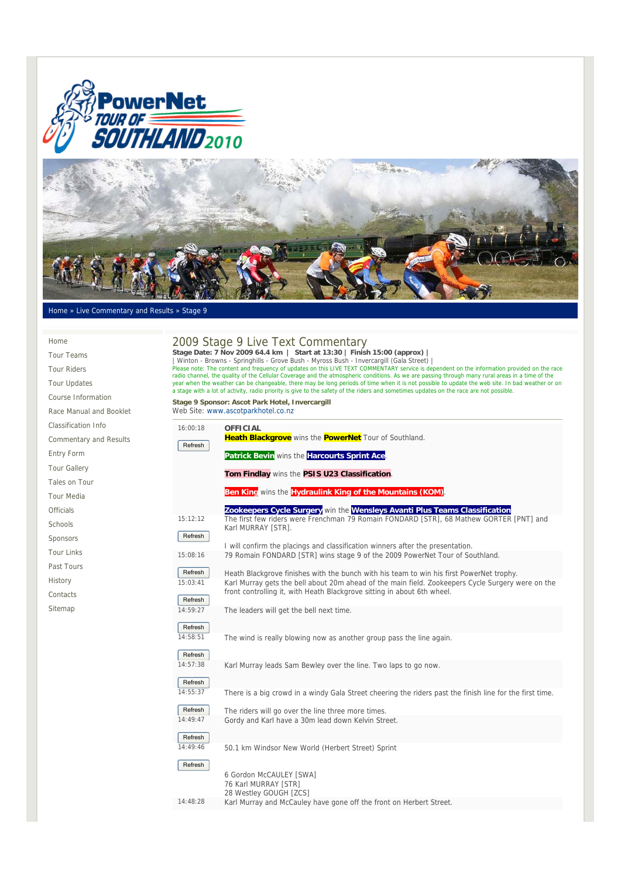



## Home » Live Commentary and Results » Stage 9

| Home                          |                     | 2009 Stage 9 Live Text Commentary<br>Stage Date: 7 Nov 2009 64.4 km   Start at 13:30   Finish 15:00 (approx)  <br>Winton - Browns - Springhills - Grove Bush - Myross Bush - Invercargill (Gala Street)<br>Please note: The content and frequency of updates on this LIVE TEXT COMMENTARY service is dependent on the information provided on the race<br>radio channel, the quality of the Cellular Coverage and the atmospheric conditions. As we are passing through many rural areas in a time of the<br>year when the weather can be changeable, there may be long periods of time when it is not possible to update the web site. In bad weather or on<br>a stage with a lot of activity, radio priority is give to the safety of the riders and sometimes updates on the race are not possible.<br>Stage 9 Sponsor: Ascot Park Hotel, Invercargill<br>Web Site: www.ascotparkhotel.co.nz |  |  |
|-------------------------------|---------------------|-------------------------------------------------------------------------------------------------------------------------------------------------------------------------------------------------------------------------------------------------------------------------------------------------------------------------------------------------------------------------------------------------------------------------------------------------------------------------------------------------------------------------------------------------------------------------------------------------------------------------------------------------------------------------------------------------------------------------------------------------------------------------------------------------------------------------------------------------------------------------------------------------|--|--|
| <b>Tour Teams</b>             |                     |                                                                                                                                                                                                                                                                                                                                                                                                                                                                                                                                                                                                                                                                                                                                                                                                                                                                                                 |  |  |
| <b>Tour Riders</b>            |                     |                                                                                                                                                                                                                                                                                                                                                                                                                                                                                                                                                                                                                                                                                                                                                                                                                                                                                                 |  |  |
| <b>Tour Updates</b>           |                     |                                                                                                                                                                                                                                                                                                                                                                                                                                                                                                                                                                                                                                                                                                                                                                                                                                                                                                 |  |  |
| Course Information            |                     |                                                                                                                                                                                                                                                                                                                                                                                                                                                                                                                                                                                                                                                                                                                                                                                                                                                                                                 |  |  |
| Race Manual and Booklet       |                     |                                                                                                                                                                                                                                                                                                                                                                                                                                                                                                                                                                                                                                                                                                                                                                                                                                                                                                 |  |  |
| Classification Info           | 16:00:18            | <b>OFFICIAL</b>                                                                                                                                                                                                                                                                                                                                                                                                                                                                                                                                                                                                                                                                                                                                                                                                                                                                                 |  |  |
| <b>Commentary and Results</b> |                     | Heath Blackgrove wins the PowerNet Tour of Southland.                                                                                                                                                                                                                                                                                                                                                                                                                                                                                                                                                                                                                                                                                                                                                                                                                                           |  |  |
| <b>Entry Form</b>             | Refresh             | Patrick Bevin wins the Harcourts Sprint Ace                                                                                                                                                                                                                                                                                                                                                                                                                                                                                                                                                                                                                                                                                                                                                                                                                                                     |  |  |
| <b>Tour Gallery</b>           |                     |                                                                                                                                                                                                                                                                                                                                                                                                                                                                                                                                                                                                                                                                                                                                                                                                                                                                                                 |  |  |
| Tales on Tour                 |                     | Tom Findlay wins the PSIS U23 Classification.                                                                                                                                                                                                                                                                                                                                                                                                                                                                                                                                                                                                                                                                                                                                                                                                                                                   |  |  |
| <b>Tour Media</b>             |                     | Ben King wins the Hydraulink King of the Mountains (KOM)                                                                                                                                                                                                                                                                                                                                                                                                                                                                                                                                                                                                                                                                                                                                                                                                                                        |  |  |
| Officials                     |                     | Zookeepers Cycle Surgery win the Wensleys Avanti Plus Teams Classification                                                                                                                                                                                                                                                                                                                                                                                                                                                                                                                                                                                                                                                                                                                                                                                                                      |  |  |
| Schools                       | 15:12:12            | The first few riders were Frenchman 79 Romain FONDARD [STR], 68 Mathew GORTER [PNT] and                                                                                                                                                                                                                                                                                                                                                                                                                                                                                                                                                                                                                                                                                                                                                                                                         |  |  |
| Sponsors                      | Refresh             | Karl MURRAY [STR].                                                                                                                                                                                                                                                                                                                                                                                                                                                                                                                                                                                                                                                                                                                                                                                                                                                                              |  |  |
| <b>Tour Links</b>             | 15:08:16            | I will confirm the placings and classification winners after the presentation.                                                                                                                                                                                                                                                                                                                                                                                                                                                                                                                                                                                                                                                                                                                                                                                                                  |  |  |
| Past Tours                    |                     | 79 Romain FONDARD [STR] wins stage 9 of the 2009 PowerNet Tour of Southland.                                                                                                                                                                                                                                                                                                                                                                                                                                                                                                                                                                                                                                                                                                                                                                                                                    |  |  |
| History                       | Refresh<br>15:03:41 | Heath Blackgrove finishes with the bunch with his team to win his first PowerNet trophy.<br>Karl Murray gets the bell about 20m ahead of the main field. Zookeepers Cycle Surgery were on the                                                                                                                                                                                                                                                                                                                                                                                                                                                                                                                                                                                                                                                                                                   |  |  |
| Contacts                      |                     | front controlling it, with Heath Blackgrove sitting in about 6th wheel.                                                                                                                                                                                                                                                                                                                                                                                                                                                                                                                                                                                                                                                                                                                                                                                                                         |  |  |
| Sitemap                       | Refresh<br>14:59:27 | The leaders will get the bell next time.                                                                                                                                                                                                                                                                                                                                                                                                                                                                                                                                                                                                                                                                                                                                                                                                                                                        |  |  |
|                               |                     |                                                                                                                                                                                                                                                                                                                                                                                                                                                                                                                                                                                                                                                                                                                                                                                                                                                                                                 |  |  |
|                               | Refresh<br>14:58:51 | The wind is really blowing now as another group pass the line again.                                                                                                                                                                                                                                                                                                                                                                                                                                                                                                                                                                                                                                                                                                                                                                                                                            |  |  |
|                               |                     |                                                                                                                                                                                                                                                                                                                                                                                                                                                                                                                                                                                                                                                                                                                                                                                                                                                                                                 |  |  |
|                               | Refresh<br>14:57:38 | Karl Murray leads Sam Bewley over the line. Two laps to go now.                                                                                                                                                                                                                                                                                                                                                                                                                                                                                                                                                                                                                                                                                                                                                                                                                                 |  |  |
|                               |                     |                                                                                                                                                                                                                                                                                                                                                                                                                                                                                                                                                                                                                                                                                                                                                                                                                                                                                                 |  |  |
|                               | Refresh<br>14:55:37 | There is a big crowd in a windy Gala Street cheering the riders past the finish line for the first time.                                                                                                                                                                                                                                                                                                                                                                                                                                                                                                                                                                                                                                                                                                                                                                                        |  |  |
|                               |                     |                                                                                                                                                                                                                                                                                                                                                                                                                                                                                                                                                                                                                                                                                                                                                                                                                                                                                                 |  |  |
|                               | Refresh<br>14:49:47 | The riders will go over the line three more times.<br>Gordy and Karl have a 30m lead down Kelvin Street.                                                                                                                                                                                                                                                                                                                                                                                                                                                                                                                                                                                                                                                                                                                                                                                        |  |  |
|                               |                     |                                                                                                                                                                                                                                                                                                                                                                                                                                                                                                                                                                                                                                                                                                                                                                                                                                                                                                 |  |  |
|                               | Refresh<br>14:49:46 |                                                                                                                                                                                                                                                                                                                                                                                                                                                                                                                                                                                                                                                                                                                                                                                                                                                                                                 |  |  |
|                               |                     | 50.1 km Windsor New World (Herbert Street) Sprint                                                                                                                                                                                                                                                                                                                                                                                                                                                                                                                                                                                                                                                                                                                                                                                                                                               |  |  |
|                               | Refresh             | 6 Gordon McCAULEY [SWA]                                                                                                                                                                                                                                                                                                                                                                                                                                                                                                                                                                                                                                                                                                                                                                                                                                                                         |  |  |
|                               |                     | 76 Karl MURRAY [STR]                                                                                                                                                                                                                                                                                                                                                                                                                                                                                                                                                                                                                                                                                                                                                                                                                                                                            |  |  |
|                               |                     | 28 Westley GOUGH [ZCS]                                                                                                                                                                                                                                                                                                                                                                                                                                                                                                                                                                                                                                                                                                                                                                                                                                                                          |  |  |

14:48:28 Karl Murray and McCauley have gone off the front on Herbert Street.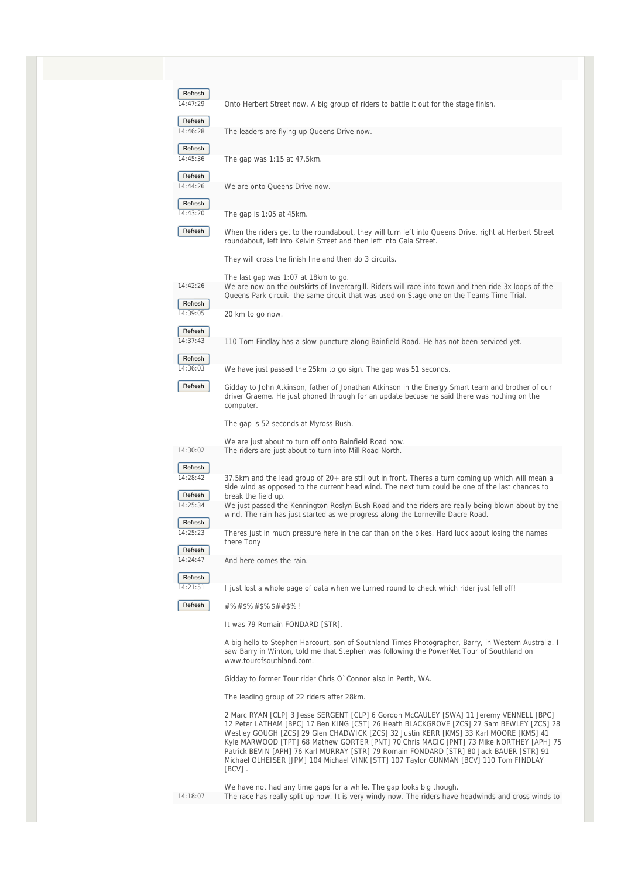| Refresh             |                                                                                                                                                                                                                                                                                                                                                                                                                                                                                                                                                                           |
|---------------------|---------------------------------------------------------------------------------------------------------------------------------------------------------------------------------------------------------------------------------------------------------------------------------------------------------------------------------------------------------------------------------------------------------------------------------------------------------------------------------------------------------------------------------------------------------------------------|
| 14:47:29            | Onto Herbert Street now. A big group of riders to battle it out for the stage finish.                                                                                                                                                                                                                                                                                                                                                                                                                                                                                     |
| Refresh             |                                                                                                                                                                                                                                                                                                                                                                                                                                                                                                                                                                           |
| 14:46:28            | The leaders are flying up Queens Drive now.                                                                                                                                                                                                                                                                                                                                                                                                                                                                                                                               |
| Refresh             |                                                                                                                                                                                                                                                                                                                                                                                                                                                                                                                                                                           |
| 14:45:36            | The gap was $1:15$ at $47.5$ km.                                                                                                                                                                                                                                                                                                                                                                                                                                                                                                                                          |
| Refresh             |                                                                                                                                                                                                                                                                                                                                                                                                                                                                                                                                                                           |
| 14:44:26            | We are onto Queens Drive now.                                                                                                                                                                                                                                                                                                                                                                                                                                                                                                                                             |
| Refresh<br>14:43:20 | The gap is $1:05$ at $45km$ .                                                                                                                                                                                                                                                                                                                                                                                                                                                                                                                                             |
| Refresh             | When the riders get to the roundabout, they will turn left into Queens Drive, right at Herbert Street<br>roundabout, left into Kelvin Street and then left into Gala Street.                                                                                                                                                                                                                                                                                                                                                                                              |
|                     | They will cross the finish line and then do 3 circuits.                                                                                                                                                                                                                                                                                                                                                                                                                                                                                                                   |
|                     | The last gap was 1:07 at 18 km to go.                                                                                                                                                                                                                                                                                                                                                                                                                                                                                                                                     |
| 14:42:26<br>Refresh | We are now on the outskirts of Invercargill. Riders will race into town and then ride 3x loops of the<br>Queens Park circuit- the same circuit that was used on Stage one on the Teams Time Trial.                                                                                                                                                                                                                                                                                                                                                                        |
| 14:39:05            | 20 km to go now.                                                                                                                                                                                                                                                                                                                                                                                                                                                                                                                                                          |
| Refresh             |                                                                                                                                                                                                                                                                                                                                                                                                                                                                                                                                                                           |
| 14:37:43            | 110 Tom Findlay has a slow puncture along Bainfield Road. He has not been serviced yet.                                                                                                                                                                                                                                                                                                                                                                                                                                                                                   |
| Refresh             |                                                                                                                                                                                                                                                                                                                                                                                                                                                                                                                                                                           |
| 14:36:03            | We have just passed the 25km to go sign. The gap was 51 seconds.                                                                                                                                                                                                                                                                                                                                                                                                                                                                                                          |
| Refresh             | Gidday to John Atkinson, father of Jonathan Atkinson in the Energy Smart team and brother of our<br>driver Graeme. He just phoned through for an update becuse he said there was nothing on the<br>computer.                                                                                                                                                                                                                                                                                                                                                              |
|                     | The gap is 52 seconds at Myross Bush.                                                                                                                                                                                                                                                                                                                                                                                                                                                                                                                                     |
| 14:30:02            | We are just about to turn off onto Bainfield Road now.<br>The riders are just about to turn into Mill Road North.                                                                                                                                                                                                                                                                                                                                                                                                                                                         |
|                     |                                                                                                                                                                                                                                                                                                                                                                                                                                                                                                                                                                           |
| Refresh<br>14:28:42 | 37.5km and the lead group of 20+ are still out in front. Theres a turn coming up which will mean a<br>side wind as opposed to the current head wind. The next turn could be one of the last chances to                                                                                                                                                                                                                                                                                                                                                                    |
| Refresh<br>14:25:34 | break the field up.<br>We just passed the Kennington Roslyn Bush Road and the riders are really being blown about by the<br>wind. The rain has just started as we progress along the Lorneville Dacre Road.                                                                                                                                                                                                                                                                                                                                                               |
| Refresh<br>14:25:23 | Theres just in much pressure here in the car than on the bikes. Hard luck about losing the names                                                                                                                                                                                                                                                                                                                                                                                                                                                                          |
| Refresh             | there Tony                                                                                                                                                                                                                                                                                                                                                                                                                                                                                                                                                                |
| 14:24:47            | And here comes the rain.                                                                                                                                                                                                                                                                                                                                                                                                                                                                                                                                                  |
| Refresh             |                                                                                                                                                                                                                                                                                                                                                                                                                                                                                                                                                                           |
| 14:21:51            | I just lost a whole page of data when we turned round to check which rider just fell off!                                                                                                                                                                                                                                                                                                                                                                                                                                                                                 |
| Refresh             | #%#\$%#\$%\$##\$%!                                                                                                                                                                                                                                                                                                                                                                                                                                                                                                                                                        |
|                     | It was 79 Romain FONDARD [STR].                                                                                                                                                                                                                                                                                                                                                                                                                                                                                                                                           |
|                     | A big hello to Stephen Harcourt, son of Southland Times Photographer, Barry, in Western Australia. I<br>saw Barry in Winton, told me that Stephen was following the PowerNet Tour of Southland on<br>www.tourofsouthland.com.                                                                                                                                                                                                                                                                                                                                             |
|                     | Gidday to former Tour rider Chris O'Connor also in Perth, WA.                                                                                                                                                                                                                                                                                                                                                                                                                                                                                                             |
|                     | The leading group of 22 riders after 28km.                                                                                                                                                                                                                                                                                                                                                                                                                                                                                                                                |
|                     | 2 Marc RYAN [CLP] 3 Jesse SERGENT [CLP] 6 Gordon McCAULEY [SWA] 11 Jeremy VENNELL [BPC]<br>12 Peter LATHAM [BPC] 17 Ben KING [CST] 26 Heath BLACKGROVE [ZCS] 27 Sam BEWLEY [ZCS] 28<br>Westley GOUGH [ZCS] 29 Glen CHADWICK [ZCS] 32 Justin KERR [KMS] 33 Karl MOORE [KMS] 41<br>Kyle MARWOOD [TPT] 68 Mathew GORTER [PNT] 70 Chris MACIC [PNT] 73 Mike NORTHEY [APH] 75<br>Patrick BEVIN [APH] 76 Karl MURRAY [STR] 79 Romain FONDARD [STR] 80 Jack BAUER [STR] 91<br>Michael OLHEISER [JPM] 104 Michael VINK [STT] 107 Taylor GUNMAN [BCV] 110 Tom FINDLAY<br>$[BCV]$ . |
| 14:18:07            | We have not had any time gaps for a while. The gap looks big though.<br>The race has really split up now. It is very windy now. The riders have headwinds and cross winds to                                                                                                                                                                                                                                                                                                                                                                                              |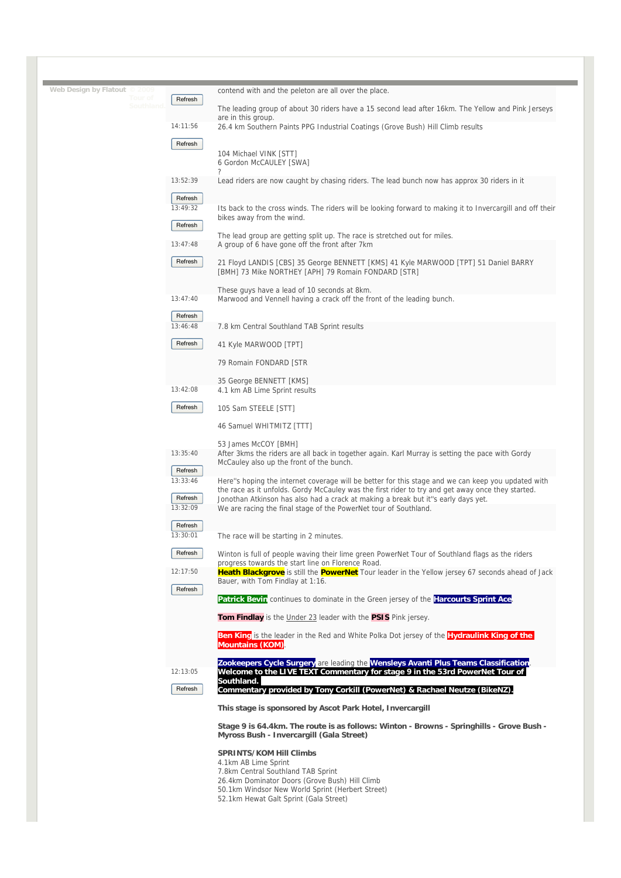| Web Design by Flatout | Refresh             | contend with and the peleton are all over the place.                                                                                                                                                    |
|-----------------------|---------------------|---------------------------------------------------------------------------------------------------------------------------------------------------------------------------------------------------------|
|                       |                     | The leading group of about 30 riders have a 15 second lead after 16km. The Yellow and Pink Jerseys                                                                                                      |
|                       | 14:11:56            | are in this group.<br>26.4 km Southern Paints PPG Industrial Coatings (Grove Bush) Hill Climb results                                                                                                   |
|                       | Refresh             |                                                                                                                                                                                                         |
|                       |                     | 104 Michael VINK [STT]<br>6 Gordon McCAULEY [SWA]                                                                                                                                                       |
|                       |                     | 7                                                                                                                                                                                                       |
|                       | 13:52:39            | Lead riders are now caught by chasing riders. The lead bunch now has approx 30 riders in it                                                                                                             |
|                       | Refresh<br>13:49:32 | Its back to the cross winds. The riders will be looking forward to making it to Invercargill and off their                                                                                              |
|                       | Refresh             | bikes away from the wind.                                                                                                                                                                               |
|                       |                     | The lead group are getting split up. The race is stretched out for miles.                                                                                                                               |
|                       | 13:47:48            | A group of 6 have gone off the front after 7km                                                                                                                                                          |
|                       | Refresh             | 21 Floyd LANDIS [CBS] 35 George BENNETT [KMS] 41 Kyle MARWOOD [TPT] 51 Daniel BARRY<br>[BMH] 73 Mike NORTHEY [APH] 79 Romain FONDARD [STR]                                                              |
|                       | 13:47:40            | These guys have a lead of 10 seconds at 8km.<br>Marwood and Vennell having a crack off the front of the leading bunch.                                                                                  |
|                       |                     |                                                                                                                                                                                                         |
|                       | Refresh<br>13:46:48 | 7.8 km Central Southland TAB Sprint results                                                                                                                                                             |
|                       | Refresh             | 41 Kyle MARWOOD [TPT]                                                                                                                                                                                   |
|                       |                     | 79 Romain FONDARD [STR                                                                                                                                                                                  |
|                       |                     |                                                                                                                                                                                                         |
|                       | 13:42:08            | 35 George BENNETT [KMS]<br>4.1 km AB Lime Sprint results                                                                                                                                                |
|                       | Refresh             | 105 Sam STEELE [STT]                                                                                                                                                                                    |
|                       |                     | 46 Samuel WHITMITZ [TTT]                                                                                                                                                                                |
|                       |                     |                                                                                                                                                                                                         |
|                       | 13:35:40            | 53 James McCOY [BMH]<br>After 3kms the riders are all back in together again. Karl Murray is setting the pace with Gordy                                                                                |
|                       | Refresh             | McCauley also up the front of the bunch.                                                                                                                                                                |
|                       | 13:33:46            | Here"s hoping the internet coverage will be better for this stage and we can keep you updated with<br>the race as it unfolds. Gordy McCauley was the first rider to try and get away once they started. |
|                       | Refresh             | Jonothan Atkinson has also had a crack at making a break but it"s early days yet.                                                                                                                       |
|                       | 13:32:09            | We are racing the final stage of the PowerNet tour of Southland.                                                                                                                                        |
|                       | Refresh<br>13:30:01 | The race will be starting in 2 minutes.                                                                                                                                                                 |
|                       | Refresh             | Winton is full of people waving their lime green PowerNet Tour of Southland flags as the riders                                                                                                         |
|                       |                     | progress towards the start line on Florence Road.                                                                                                                                                       |
|                       | 12:17:50            | <b>Heath Blackgrove</b> is still the <b>PowerNet</b> Tour leader in the Yellow jersey 67 seconds ahead of Jack<br>Bauer, with Tom Findlay at 1:16.                                                      |
|                       | Refresh             | <b>Patrick Bevin</b> continues to dominate in the Green jersey of the <b>Harcourts Sprint Ace</b> .                                                                                                     |
|                       |                     | <b>Tom Findlay</b> is the Under 23 leader with the <b>PSIS</b> Pink jersey.                                                                                                                             |
|                       |                     | <b>Ben King</b> is the leader in the Red and White Polka Dot jersey of the <b>Hydraulink King of the</b><br><b>Mountains (KOM)</b>                                                                      |
|                       |                     |                                                                                                                                                                                                         |
|                       | 12:13:05            | Zookeepers Cycle Surgery are leading the Wensleys Avanti Plus Teams Classification<br>Welcome to the LIVE TEXT Commentary for stage 9 in the 53rd PowerNet Tour of                                      |
|                       | Refresh             | Southland.<br>Commentary provided by Tony Corkill (PowerNet) & Rachael Neutze (BikeNZ).                                                                                                                 |
|                       |                     | This stage is sponsored by Ascot Park Hotel, Invercargill                                                                                                                                               |
|                       |                     | Stage 9 is 64.4km. The route is as follows: Winton - Browns - Springhills - Grove Bush -<br>Myross Bush - Invercargill (Gala Street)                                                                    |
|                       |                     | <b>SPRINTS/KOM Hill Climbs</b>                                                                                                                                                                          |

4.1km AB Lime Sprint 7.8km Central Southland TAB Sprint 26.4km Dominator Doors (Grove Bush) Hill Climb

50.1km Windsor New World Sprint (Herbert Street)

52.1km Hewat Galt Sprint (Gala Street)